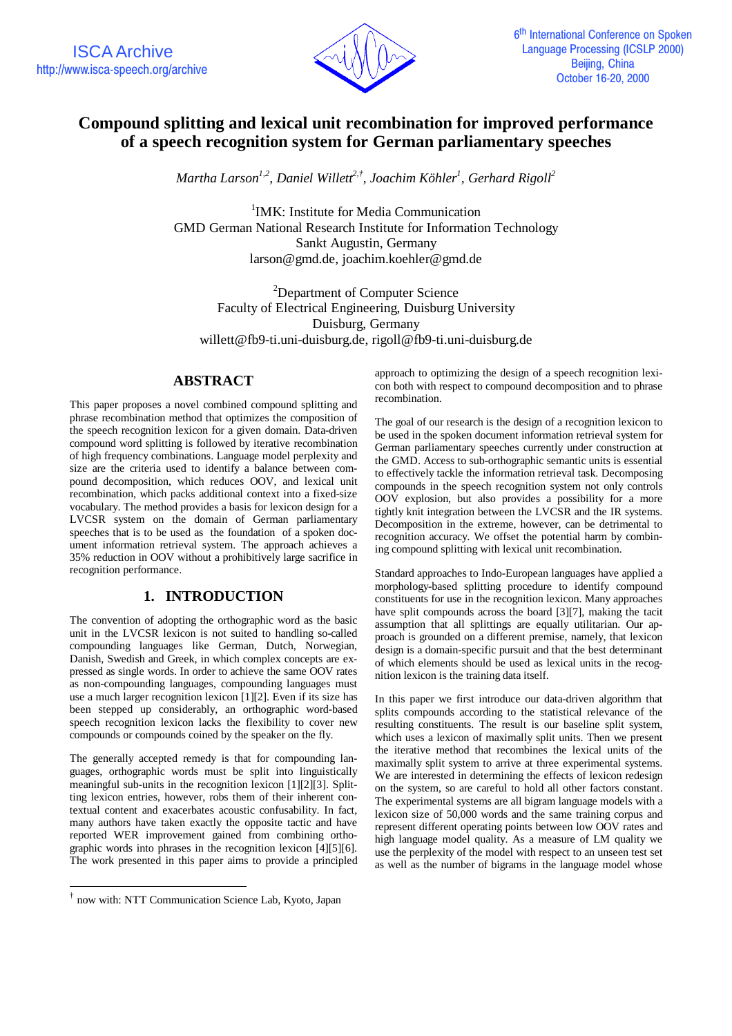

# **Compound splitting and lexical unit recombination for improved performance of a speech recognition system for German parliamentary speeches**

*Martha Larson1,2, Daniel Willett2,† , Joachim Köhler<sup>1</sup> , Gerhard Rigoll<sup>2</sup>*

<sup>1</sup>IMK: Institute for Media Communication GMD German National Research Institute for Information Technology Sankt Augustin, Germany larson@gmd.de, joachim.koehler@gmd.de

<sup>2</sup>Department of Computer Science Faculty of Electrical Engineering, Duisburg University Duisburg, Germany willett@fb9-ti.uni-duisburg.de, rigoll@fb9-ti.uni-duisburg.de

## **ABSTRACT**

This paper proposes a novel combined compound splitting and phrase recombination method that optimizes the composition of the speech recognition lexicon for a given domain. Data-driven compound word splitting is followed by iterative recombination of high frequency combinations. Language model perplexity and size are the criteria used to identify a balance between compound decomposition, which reduces OOV, and lexical unit recombination, which packs additional context into a fixed-size vocabulary. The method provides a basis for lexicon design for a LVCSR system on the domain of German parliamentary speeches that is to be used as the foundation of a spoken document information retrieval system. The approach achieves a 35% reduction in OOV without a prohibitively large sacrifice in recognition performance.

## **1. INTRODUCTION**

The convention of adopting the orthographic word as the basic unit in the LVCSR lexicon is not suited to handling so-called compounding languages like German, Dutch, Norwegian, Danish, Swedish and Greek, in which complex concepts are expressed as single words. In order to achieve the same OOV rates as non-compounding languages, compounding languages must use a much larger recognition lexicon [1][2]. Even if its size has been stepped up considerably, an orthographic word-based speech recognition lexicon lacks the flexibility to cover new compounds or compounds coined by the speaker on the fly.

The generally accepted remedy is that for compounding languages, orthographic words must be split into linguistically meaningful sub-units in the recognition lexicon [1][2][3]. Splitting lexicon entries, however, robs them of their inherent contextual content and exacerbates acoustic confusability. In fact, many authors have taken exactly the opposite tactic and have reported WER improvement gained from combining orthographic words into phrases in the recognition lexicon [4][5][6]. The work presented in this paper aims to provide a principled

 $\overline{a}$ 

approach to optimizing the design of a speech recognition lexicon both with respect to compound decomposition and to phrase recombination.

The goal of our research is the design of a recognition lexicon to be used in the spoken document information retrieval system for German parliamentary speeches currently under construction at the GMD. Access to sub-orthographic semantic units is essential to effectively tackle the information retrieval task. Decomposing compounds in the speech recognition system not only controls OOV explosion, but also provides a possibility for a more tightly knit integration between the LVCSR and the IR systems. Decomposition in the extreme, however, can be detrimental to recognition accuracy. We offset the potential harm by combining compound splitting with lexical unit recombination.

Standard approaches to Indo-European languages have applied a morphology-based splitting procedure to identify compound constituents for use in the recognition lexicon. Many approaches have split compounds across the board [3][7], making the tacit assumption that all splittings are equally utilitarian. Our approach is grounded on a different premise, namely, that lexicon design is a domain-specific pursuit and that the best determinant of which elements should be used as lexical units in the recognition lexicon is the training data itself.

In this paper we first introduce our data-driven algorithm that splits compounds according to the statistical relevance of the resulting constituents. The result is our baseline split system, which uses a lexicon of maximally split units. Then we present the iterative method that recombines the lexical units of the maximally split system to arrive at three experimental systems. We are interested in determining the effects of lexicon redesign on the system, so are careful to hold all other factors constant. The experimental systems are all bigram language models with a lexicon size of 50,000 words and the same training corpus and represent different operating points between low OOV rates and high language model quality. As a measure of LM quality we use the perplexity of the model with respect to an unseen test set as well as the number of bigrams in the language model whose

<sup>†</sup> now with: NTT Communication Science Lab, Kyoto, Japan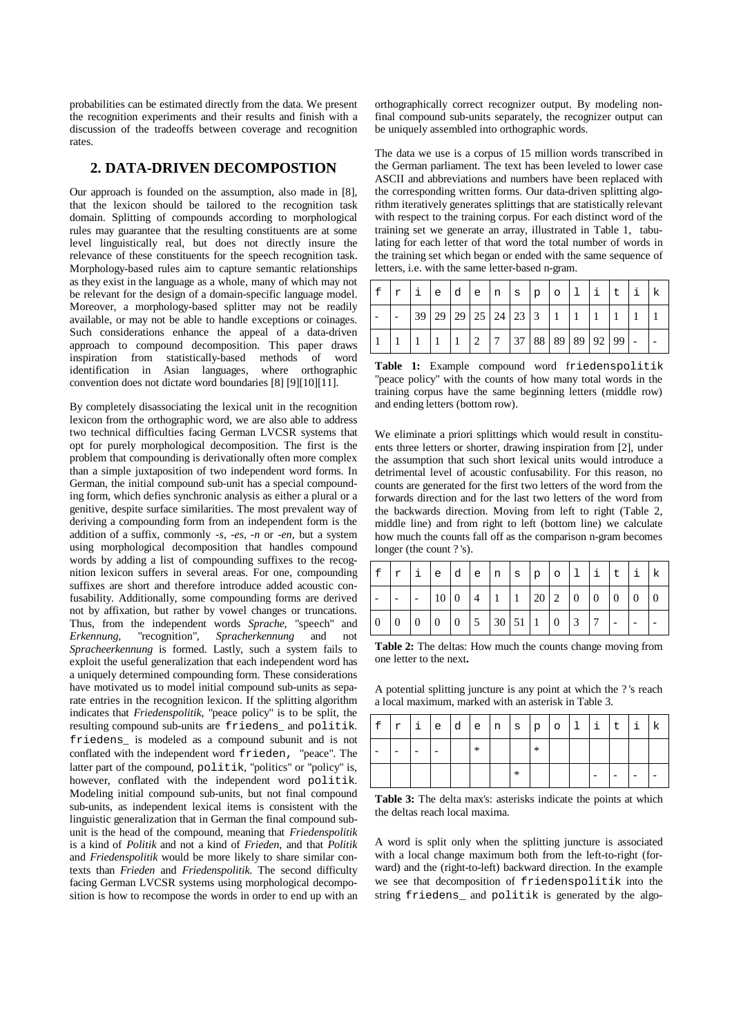probabilities can be estimated directly from the data. We present the recognition experiments and their results and finish with a discussion of the tradeoffs between coverage and recognition rates.

#### **2. DATA-DRIVEN DECOMPOSTION**

Our approach is founded on the assumption, also made in [8], that the lexicon should be tailored to the recognition task domain. Splitting of compounds according to morphological rules may guarantee that the resulting constituents are at some level linguistically real, but does not directly insure the relevance of these constituents for the speech recognition task. Morphology-based rules aim to capture semantic relationships as they exist in the language as a whole, many of which may not be relevant for the design of a domain-specific language model. Moreover, a morphology-based splitter may not be readily available, or may not be able to handle exceptions or coinages. Such considerations enhance the appeal of a data-driven approach to compound decomposition. This paper draws inspiration from statistically-based methods of word identification in Asian languages, where orthographic convention does not dictate word boundaries [8] [9][10][11].

By completely disassociating the lexical unit in the recognition lexicon from the orthographic word, we are also able to address two technical difficulties facing German LVCSR systems that opt for purely morphological decomposition. The first is the problem that compounding is derivationally often more complex than a simple juxtaposition of two independent word forms. In German, the initial compound sub-unit has a special compounding form, which defies synchronic analysis as either a plural or a genitive, despite surface similarities. The most prevalent way of deriving a compounding form from an independent form is the addition of a suffix, commonly *-s*, *-es*, *-n* or *-en*, but a system using morphological decomposition that handles compound words by adding a list of compounding suffixes to the recognition lexicon suffers in several areas. For one, compounding suffixes are short and therefore introduce added acoustic confusability. Additionally, some compounding forms are derived not by affixation, but rather by vowel changes or truncations. Thus, from the independent words *Sprache*, "speech" and *Erkennung*, "recognition", *Spracherkennung* and not *Spracheerkennung* is formed. Lastly, such a system fails to exploit the useful generalization that each independent word has a uniquely determined compounding form. These considerations have motivated us to model initial compound sub-units as separate entries in the recognition lexicon. If the splitting algorithm indicates that *Friedenspolitik*, "peace policy" is to be split, the resulting compound sub-units are friedens\_ and politik. friedens\_ is modeled as a compound subunit and is not conflated with the independent word frieden, "peace". The latter part of the compound, politics, "politics" or "policy" is, however, conflated with the independent word politik. Modeling initial compound sub-units, but not final compound sub-units, as independent lexical items is consistent with the linguistic generalization that in German the final compound subunit is the head of the compound, meaning that *Friedenspolitik* is a kind of *Politik* and not a kind of *Frieden*, and that *Politik* and *Friedenspolitik* would be more likely to share similar contexts than *Frieden* and *Friedenspolitik*. The second difficulty facing German LVCSR systems using morphological decomposition is how to recompose the words in order to end up with an

orthographically correct recognizer output. By modeling nonfinal compound sub-units separately, the recognizer output can be uniquely assembled into orthographic words.

The data we use is a corpus of 15 million words transcribed in the German parliament. The text has been leveled to lower case ASCII and abbreviations and numbers have been replaced with the corresponding written forms. Our data-driven splitting algorithm iteratively generates splittings that are statistically relevant with respect to the training corpus. For each distinct word of the training set we generate an array, illustrated in Table 1, tabulating for each letter of that word the total number of words in the training set which began or ended with the same sequence of letters, i.e. with the same letter-based n-gram.

|  | r | e |  | $d \mid e \mid n \mid s \mid p$ |                     | $\circ$ |                                     |  |  |
|--|---|---|--|---------------------------------|---------------------|---------|-------------------------------------|--|--|
|  |   |   |  |                                 | 39 29 29 25 24 23 3 |         |                                     |  |  |
|  |   |   |  |                                 |                     |         | 2   7   37   88   89   89   92   99 |  |  |

**Table 1:** Example compound word friedenspolitik "peace policy" with the counts of how many total words in the training corpus have the same beginning letters (middle row) and ending letters (bottom row).

We eliminate a priori splittings which would result in constituents three letters or shorter, drawing inspiration from [2], under the assumption that such short lexical units would introduce a detrimental level of acoustic confusability. For this reason, no counts are generated for the first two letters of the word from the forwards direction and for the last two letters of the word from the backwards direction. Moving from left to right (Table 2, middle line) and from right to left (bottom line) we calculate how much the counts fall off as the comparison n-gram becomes longer (the count ?'s).

| $\lfloor r \rfloor$ i $\lfloor e \rfloor$ d $\lfloor e \rfloor$ n $\lfloor s \rfloor$ p $\lfloor o \rfloor$ li $\lfloor t \rfloor$ t |  |  |  |  |  |                                                                                                                 |  |
|--------------------------------------------------------------------------------------------------------------------------------------|--|--|--|--|--|-----------------------------------------------------------------------------------------------------------------|--|
|                                                                                                                                      |  |  |  |  |  | $\vert \cdot \vert 10 \vert 0 \vert 4 \vert 1 \vert 1 \vert 20 \vert 2 \vert 0 \vert 0 \vert 0 \vert 0 \vert 0$ |  |
| $\begin{bmatrix} 0 & 0 & 0 & 0 & 5 & 30 & 51 & 1 & 0 & 3 & 7 \end{bmatrix}$                                                          |  |  |  |  |  |                                                                                                                 |  |

**Table 2:** The deltas: How much the counts change moving from one letter to the next**.**

A potential splitting juncture is any point at which the ? 's reach a local maximum, marked with an asterisk in Table 3.

| f | r | ∣⊥ | ie | $d \mid e \mid n \mid s$ |   |        | p | ' O | i | t |  |
|---|---|----|----|--------------------------|---|--------|---|-----|---|---|--|
|   |   |    |    |                          | ∗ |        | ∗ |     |   |   |  |
|   |   |    |    |                          |   | $\ast$ |   |     |   |   |  |

**Table 3:** The delta max's: asterisks indicate the points at which the deltas reach local maxima.

A word is split only when the splitting juncture is associated with a local change maximum both from the left-to-right (forward) and the (right-to-left) backward direction. In the example we see that decomposition of friedenspolitik into the string friedens\_ and politik is generated by the algo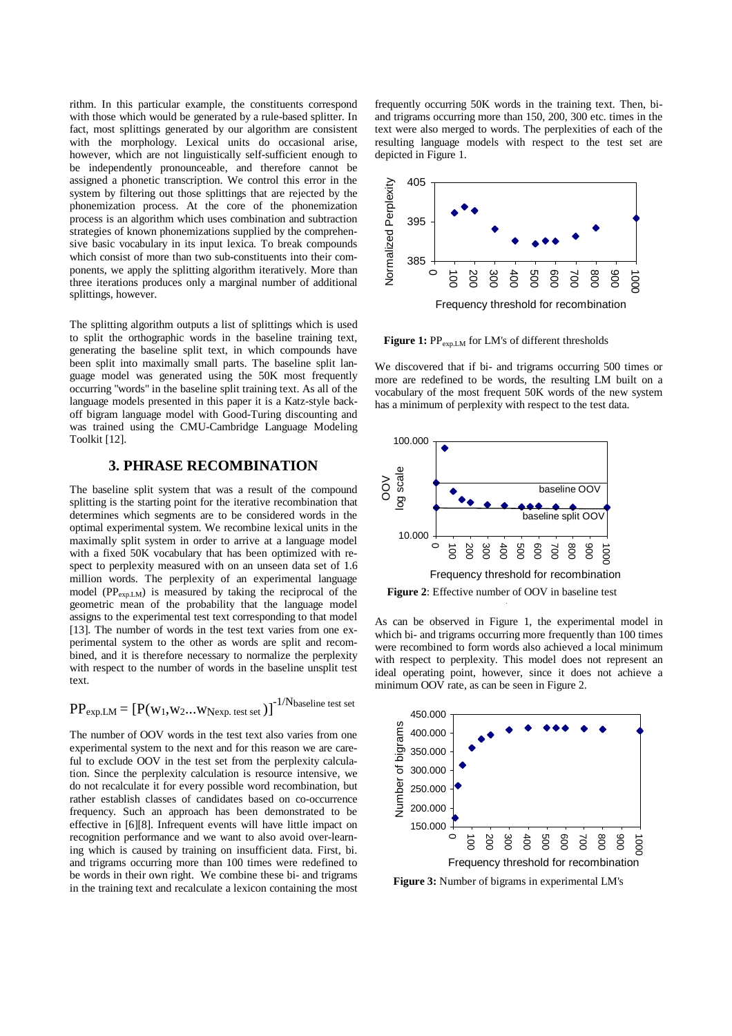rithm. In this particular example, the constituents correspond with those which would be generated by a rule-based splitter. In fact, most splittings generated by our algorithm are consistent with the morphology. Lexical units do occasional arise, however, which are not linguistically self-sufficient enough to be independently pronounceable, and therefore cannot be assigned a phonetic transcription. We control this error in the system by filtering out those splittings that are rejected by the phonemization process. At the core of the phonemization process is an algorithm which uses combination and subtraction strategies of known phonemizations supplied by the comprehensive basic vocabulary in its input lexica. To break compounds which consist of more than two sub-constituents into their components, we apply the splitting algorithm iteratively. More than three iterations produces only a marginal number of additional splittings, however.

The splitting algorithm outputs a list of splittings which is used to split the orthographic words in the baseline training text, generating the baseline split text, in which compounds have been split into maximally small parts. The baseline split language model was generated using the 50K most frequently occurring "words" in the baseline split training text. As all of the language models presented in this paper it is a Katz-style backoff bigram language model with Good-Turing discounting and was trained using the CMU-Cambridge Language Modeling Toolkit [12].

#### **3. PHRASE RECOMBINATION**

The baseline split system that was a result of the compound splitting is the starting point for the iterative recombination that determines which segments are to be considered words in the optimal experimental system. We recombine lexical units in the maximally split system in order to arrive at a language model with a fixed 50K vocabulary that has been optimized with respect to perplexity measured with on an unseen data set of 1.6 million words. The perplexity of an experimental language model  $(PP_{\text{exp.LM}})$  is measured by taking the reciprocal of the geometric mean of the probability that the language model assigns to the experimental test text corresponding to that model [13]. The number of words in the test text varies from one experimental system to the other as words are split and recombined, and it is therefore necessary to normalize the perplexity with respect to the number of words in the baseline unsplit test text.

$$
PP_{\text{exp.LM}} = \left[ P(w_1, w_2...w_{\text{Nexp. test set}}) \right]^{-1/N_{\text{baseline test set}}}
$$

The number of OOV words in the test text also varies from one experimental system to the next and for this reason we are careful to exclude OOV in the test set from the perplexity calculation. Since the perplexity calculation is resource intensive, we do not recalculate it for every possible word recombination, but rather establish classes of candidates based on co-occurrence frequency. Such an approach has been demonstrated to be effective in [6][8]. Infrequent events will have little impact on recognition performance and we want to also avoid over-learning which is caused by training on insufficient data. First, bi. and trigrams occurring more than 100 times were redefined to be words in their own right. We combine these bi- and trigrams in the training text and recalculate a lexicon containing the most

frequently occurring 50K words in the training text. Then, biand trigrams occurring more than 150, 200, 300 etc. times in the text were also merged to words. The perplexities of each of the resulting language models with respect to the test set are depicted in Figure 1.



Figure 1: PP<sub>exp.LM</sub> for LM's of different thresholds

We discovered that if bi- and trigrams occurring 500 times or more are redefined to be words, the resulting LM built on a vocabulary of the most frequent 50K words of the new system has a minimum of perplexity with respect to the test data.



**Figure 2**: Effective number of OOV in baseline test

As can be observed in Figure 1, the experimental model in which bi- and trigrams occurring more frequently than 100 times were recombined to form words also achieved a local minimum with respect to perplexity. This model does not represent an ideal operating point, however, since it does not achieve a minimum OOV rate, as can be seen in Figure 2.



**Figure 3:** Number of bigrams in experimental LM's